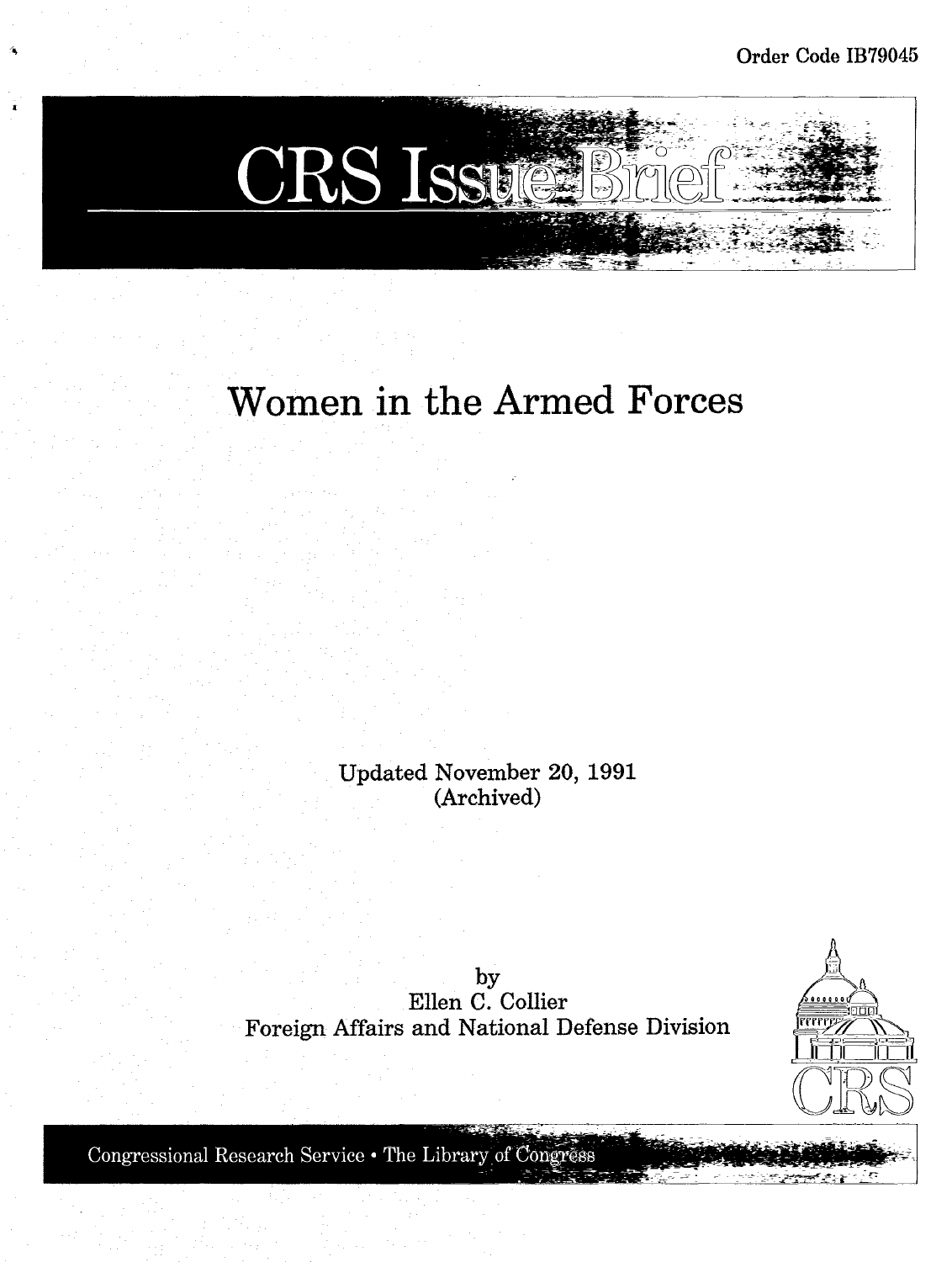

# **Women in the Armed Forces**

Updated November 20, 1991 (Archived)

by Ellen C. Collier Foreign Mfairs and National Defense Division



Congressional Research Service . The Library of Congress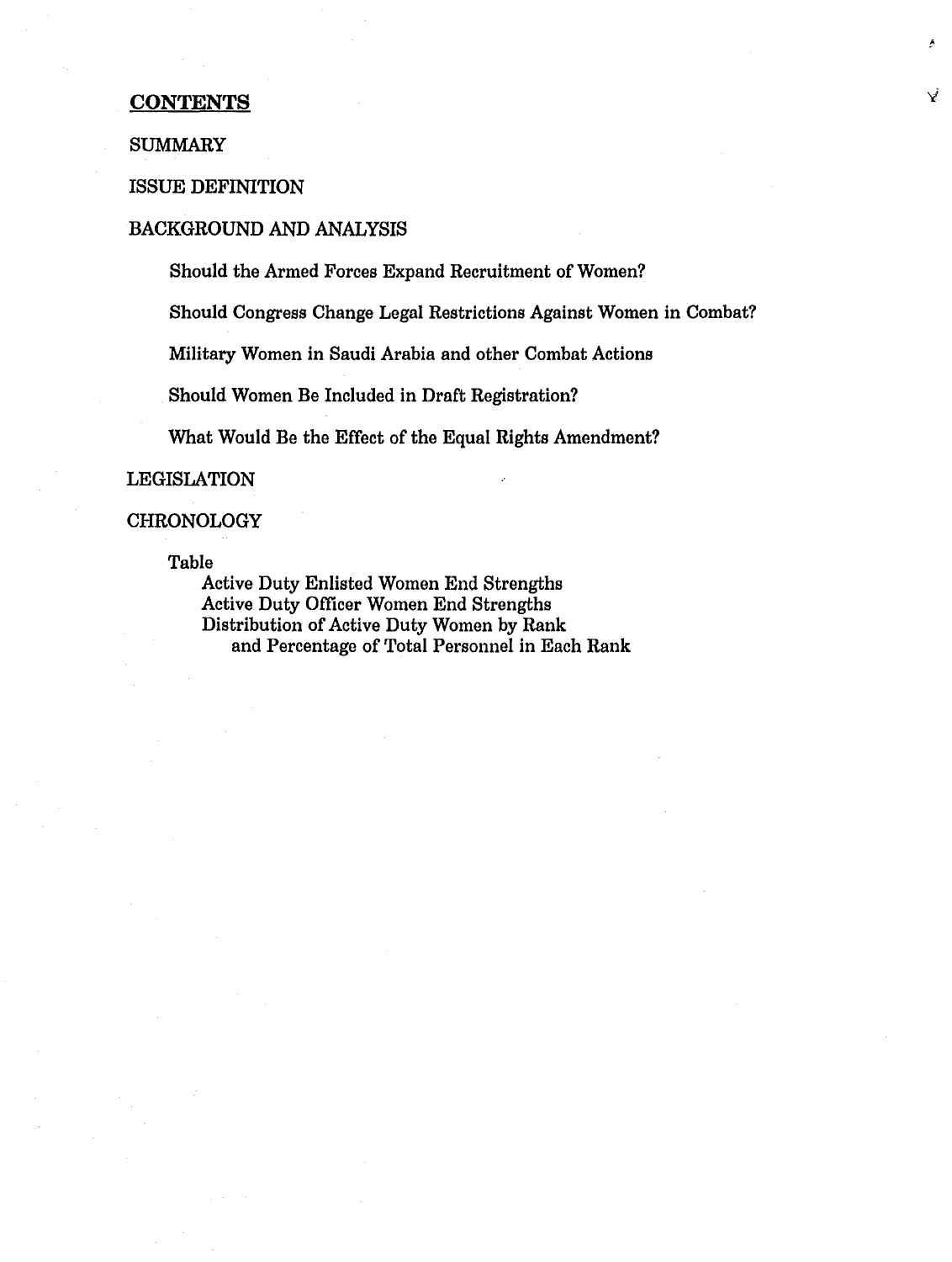## **CONTENTS**

### SUMMARY

## ISSUE DEFINITION

## BACKGROUND AND ANALYSIS

Should the Armed Forces Expand Recruitment of Women?

Should Congress Change Legal Restrictions Against Women in Combat?

V

Military Women in Saudi Arabia and other Combat Actions

Should Women Be Included in Draft Registration?

What Would Be the Effect of the Equal Rights Amendment?

#### LEGISLATION

#### CHRONOLOGY

Table

Active Duty Enlisted Women End Strengths Active Duty Officer Women End Strengths Distribution of Active Duty Women by Rank and Percentage of Total Personnel in Each Rank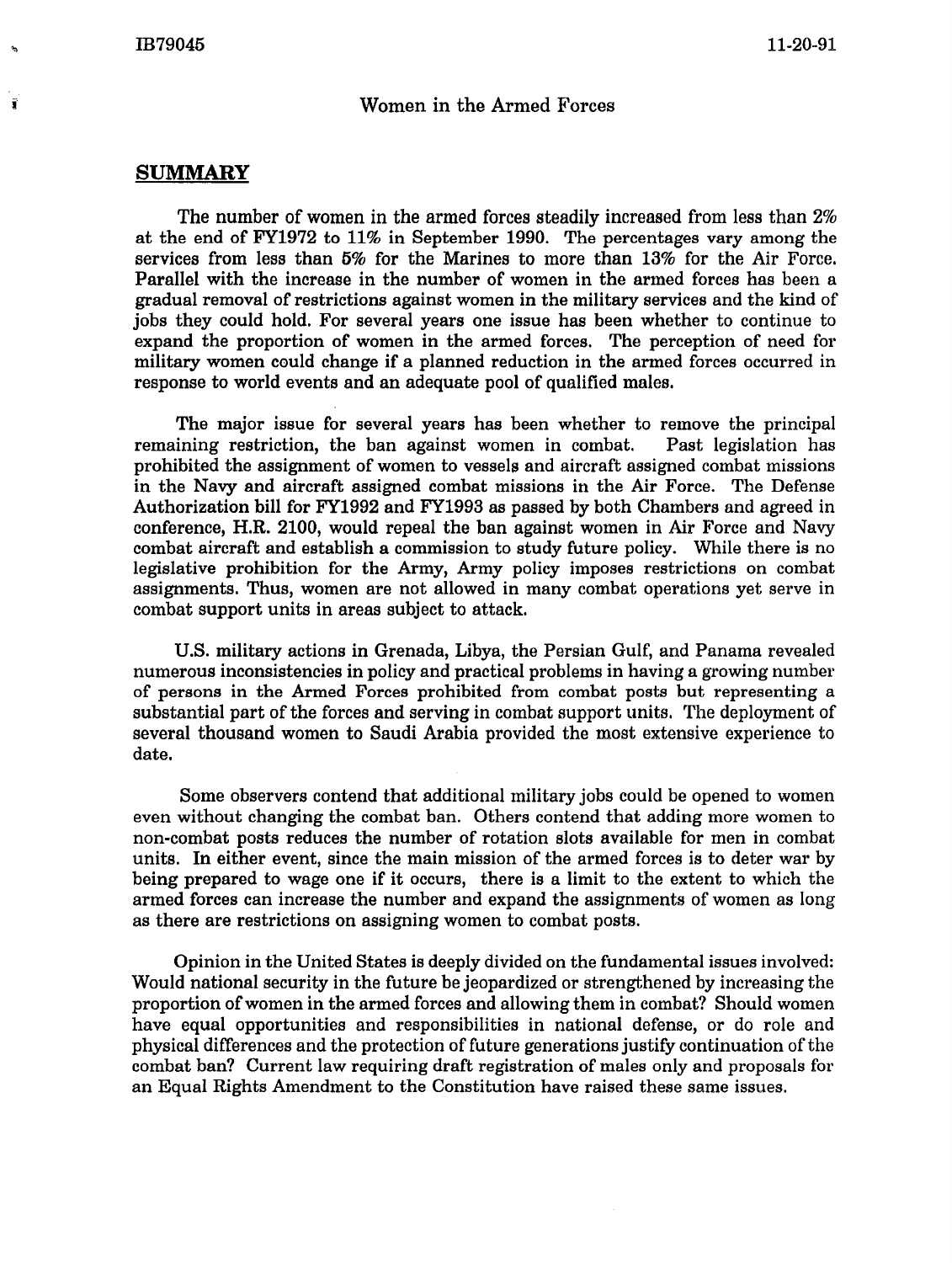i

## Women in the Armed Forces

## SUMMARY

The number of women in the armed forces steadily increased from less than 2% at the end of FY1972 to 11% in September 1990. The percentages vary among the services from less than 5% for the Marines to more than 13% for the Air Force. Parallel with the increase in the number of women in the armed forces has been a gradual removal of restrictions against women in the military services and the kind of jobs they could hold. For several years one issue has been whether to continue to expand the proportion of women in the armed forces. The perception of need for military women could change if a planned reduction in the armed forces occurred in response to world events and an adequate pool of qualified males.

The major issue for several years has been whether to remove the principal remaining restriction, the ban against women in combat. Past legislation has prohibited the assignment of women to vessels and aircraft assigned combat missions in the Navy and aircraft assigned combat missions in the Air Force. The Defense Authorization bill for F¥1992 and F¥1993 as passed by both Chambers and agreed in conference, H.R. 2100, would repeal the ban against women in Air Force and Navy combat aircraft and establish a commission to study future policy. While there is no legislative prohibition for the Army, Army policy imposes restrictions on combat assignments. Thus, women are not allowed in many combat operations yet serve in combat support units in areas subject to attack.

U.S. military actions in Grenada, Libya, the Persian Gulf, and Panama revealed numerous inconsistencies in policy and practical problems in having a growing number of persons in the Armed Forces prohibited from combat posts but representing a substantial part of the forces and serving in combat support units. The deployment of several thousand women to Saudi Arabia provided the most extensive experience to date.

Some observers contend that additional military jobs could be opened to women even without changing the combat ban. Others contend that adding more women to non-combat posts reduces the number of rotation slots available for men in combat units. In either event, since the main mission of the armed forces is to deter war by being prepared to wage one if it occurs, there is a limit to the extent to which the armed forces can increase the number and expand the assignments of women as long as there are restrictions on assigning women to combat posts.

Opinion in the United States is deeply divided on the fundamental issues involved: Would national security in the future be jeopardized or strengthened by increasing the proportion of women in the armed forces and allowing them in combat? Should women have equal opportunities and responsibilities in national defense, or do role and physical differences and the protection of future generations justify continuation of the combat ban? Current law requiring draft registration of males only and proposals for an Equal Rights Amendment to the Constitution have raised these same issues.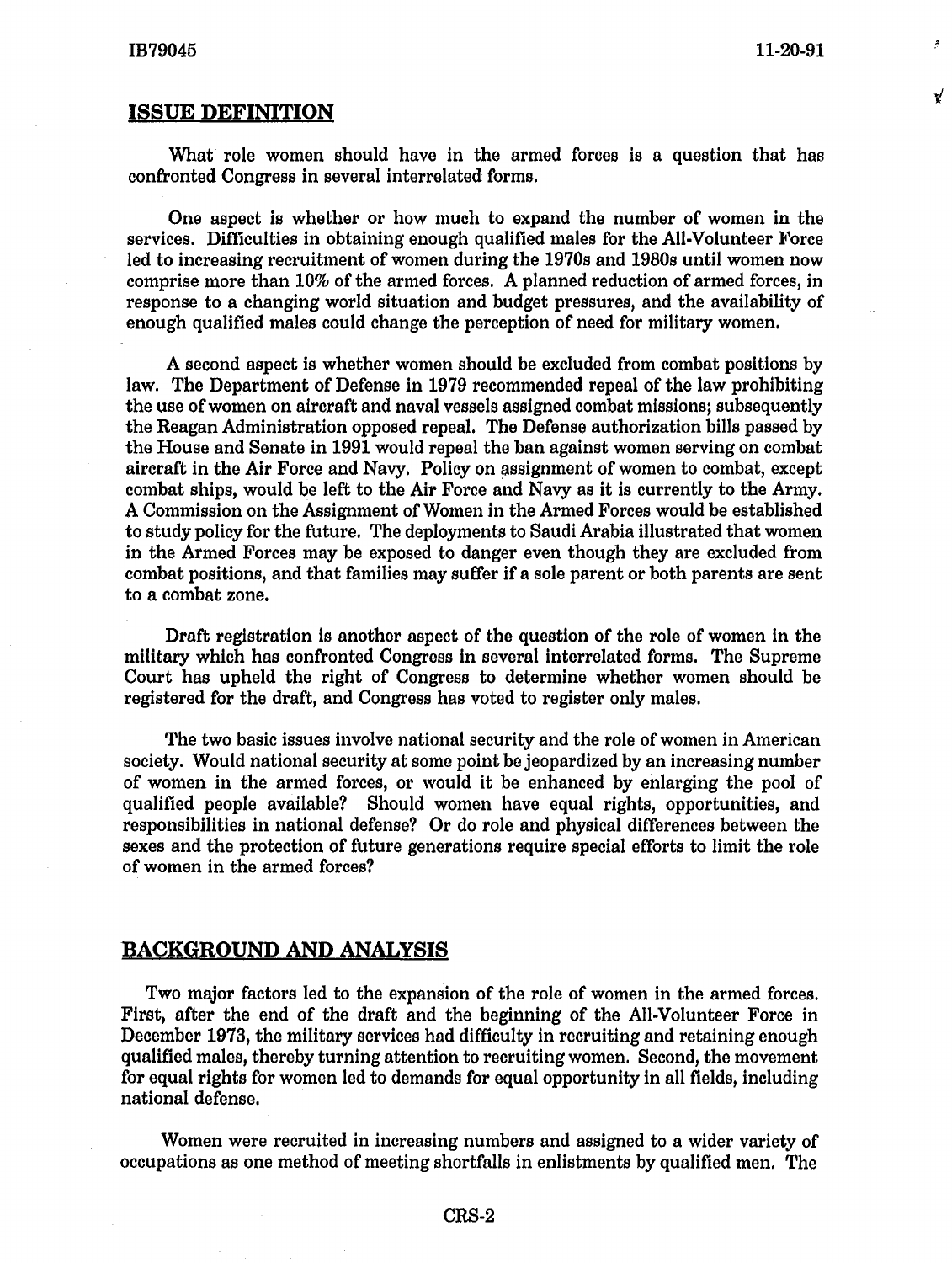V

## **ISSUE DEFINITION**

What role women should have in the armed forces is a question that has confronted Congress in several interrelated forms.

One aspect is whether or how much to expand the number of women in the services. Difficulties in obtaining enough qualified males for the All-Volunteer Force led to increasing recruitment of women during the 1970s and 1980s until women now comprise more than 10% of the armed forces. A planned reduction of armed forces, in response to a changing world situation and budget pressures, and the availability of enough qualified males could change the perception of need for military women.

A second aspect is whether women should be excluded from combat positions by law. The Department of Defense in 1979 recommended repeal of the law prohibiting the use of women on aircraft and naval vessels assigned combat missions; subsequently the Reagan Administration opposed repeal. The Defense authorization bills passed by the House and Senate in 1991 would repeal the ban against women serving on combat aircraft in the Air Force and Navy. Policy on assignment of women to combat, except combat ships, would be left to the Air Force and Navy as it is currently to the Army. *A* Commission on the Assignment of Women in the Armed Forces would be established to study policy for the future. The deployments to Saudi Arabia illustrated that women in the Armed Forces may be exposed to danger even though they are excluded from combat positions, and that families may suffer if a sole parent or both parents are sent to a combat zone.

Draft registration is another aspect of the question of the role of women in the military which has confronted Congress in several interrelated forms. The Supreme Court has upheld the right of Congress to determine whether women should be registered for the draft, and Congress has voted to register only males.

The two basic issues involve national security and the role of women in American society. Would national security at some point be jeopardized by an increasing number of women in the armed forces, or would it be enhanced by enlarging the pool of qualified people available? Should women have equal rights, opportunities, and responsibilities in national defense? Or do role and physical differences between the sexes and the protection of future generations require special efforts to limit the role of women in the armed forces?

## **BACKGROUND AND ANALYSIS**

Two major factors led to the expansion of the role of women in the armed forces. First, after the end of the draft and the beginning of the AU-Volunteer Force in December 1973, the military services had difficulty in recruiting and retaining enough qualified males, thereby turning attention to recruiting women. Second, the movement for equal rights for women led to demands for equal opportunity in all fields, including national defense.

Women were recruited in increasing numbers and assigned to a wider variety of occupations as one method of meeting shortfalls in enlistments by qualified men. The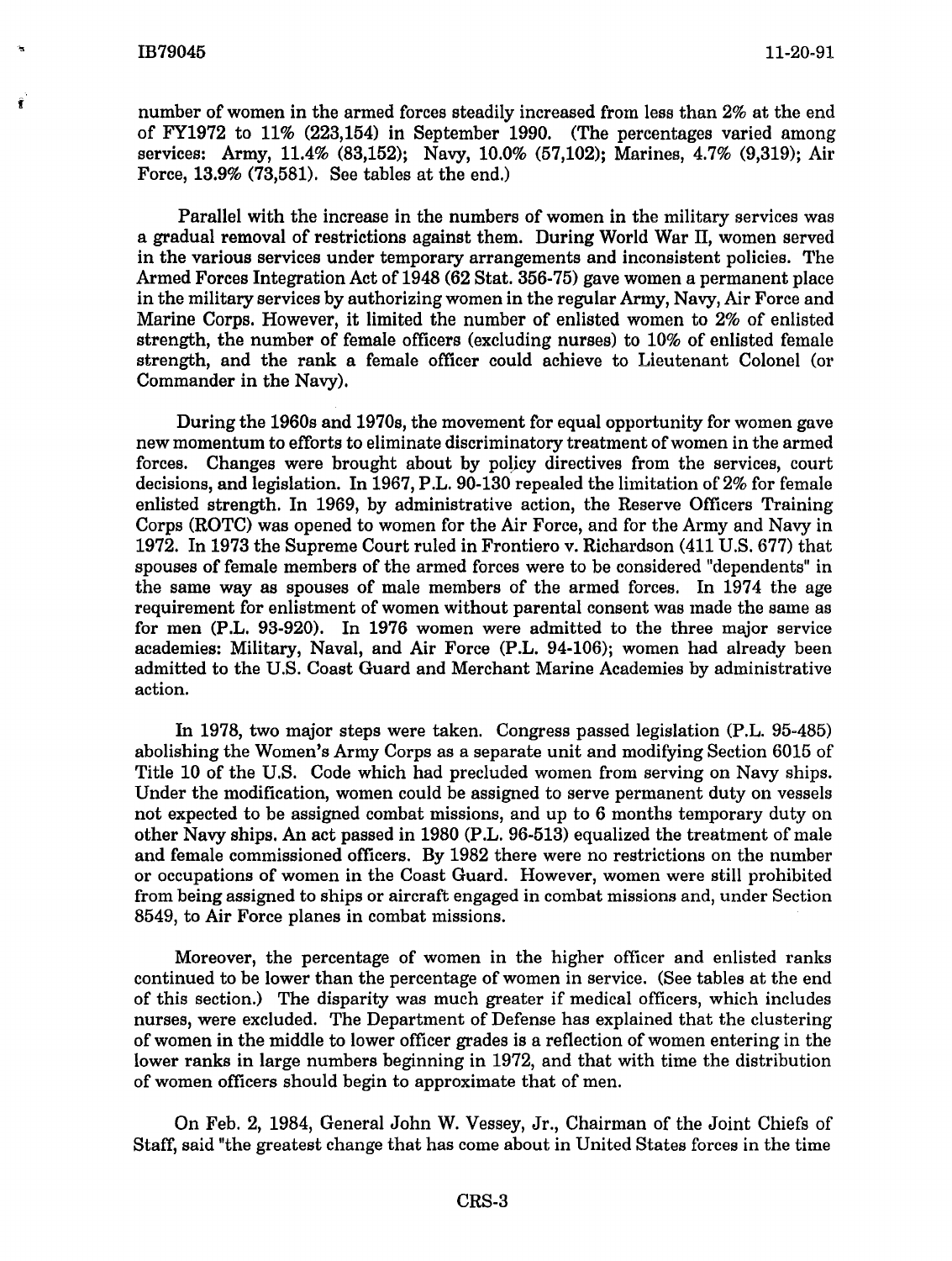number of women in the armed forces steadily increased from less than 2% at the end of FY1972 to 11% (223,154) in September 1990. (The percentages varied among services: Army, 11.4% (83,152); Navy, 10.0% (57,102); Marines, 4.7% (9,319); Air Force, 13.9% (73,581). See tables at the end.)

Parallel with the increase in the numbers of women in the military services was a gradual removal of restrictions against them. During World War II, women served in the various services under temporary arrangements and inconsistent policies. The Armed Forces Integration Act of 1948 (62 Stat. 356-75) gave women a permanent place in the military services by authorizing women in the regular Army, Navy, Air Force and Marine Corps. However, it limited the number of enlisted women to 2% of enlisted strength, the number of female officers (excluding nurses) to 10% of enlisted female strength, and the rank a female officer could achieve to Lieutenant Colonel (or Commander in the Navy).

During the 1960s and 1970s, the movement for equal opportunity for women gave new momentum to efforts to eliminate discriminatory treatment of women in the armed forces. Changes were brought about by policy directives from the services, court decisions, and legislation. In 1967, P.L. 90-130 repealed the limitation of 2% for female enlisted strength. In 1969, by administrative action, the Reserve Officers Training Corps (ROTC) was opened to women for the Air Force, and for the Army and Navy in 1972. In 1973 the Supreme Court ruled in Frontiero v. Richardson (411 U.S. 677) that spouses of female members of the armed forces were to be considered "dependents" in the same way as spouses of male members of the armed forces. In 1974 the age requirement for enlistment of women without parental consent was made the same as for men (P.L. 93-920). In 1976 women were admitted to the three major service academies: Military, Naval, and Air Force (P.L. 94-106); women had already been admitted to the U.S. Coast Guard and Merchant Marine Academies by administrative action.

In 1978, two major steps were taken. Congress passed legislation (P.L. 95-485) abolishing the Women's Army Corps as a separate unit and modifying Section 6015 of Title 10 of the U.S. Code which had precluded women from serving on Navy ships. Under the modification, women could be assigned to serve permanent duty on vessels not expected to be assigned combat missions, and up to 6 months temporary duty on other Navy ships. An act passed in 1980 (P.L. 96-513) equalized the treatment of male and female commissioned officers. By 1982 there were no restrictions on the number or occupations of women in the Coast Guard. However, women were still prohibited from being assigned to ships or aircraft engaged in combat missions and, under Section 8549, to Air Force planes in combat missions.

Moreover, the percentage of women in the higher officer and enlisted ranks continued to be lower than the percentage of women in service. (See tables at the end of this section.) The disparity was much greater if medical officers, which includes nurses, were excluded. The Department of Defense has explained that the clustering of women in the middle to lower officer grades is a reflection of women entering in the lower ranks in large numbers beginning in 1972, and that with time the distribution of women officers should begin to approximate that of men.

On Feb. 2, 1984, General John W. Vessey, Jr., Chairman of the Joint Chiefs of Staff, said "the greatest change that has come about in United States forces in the time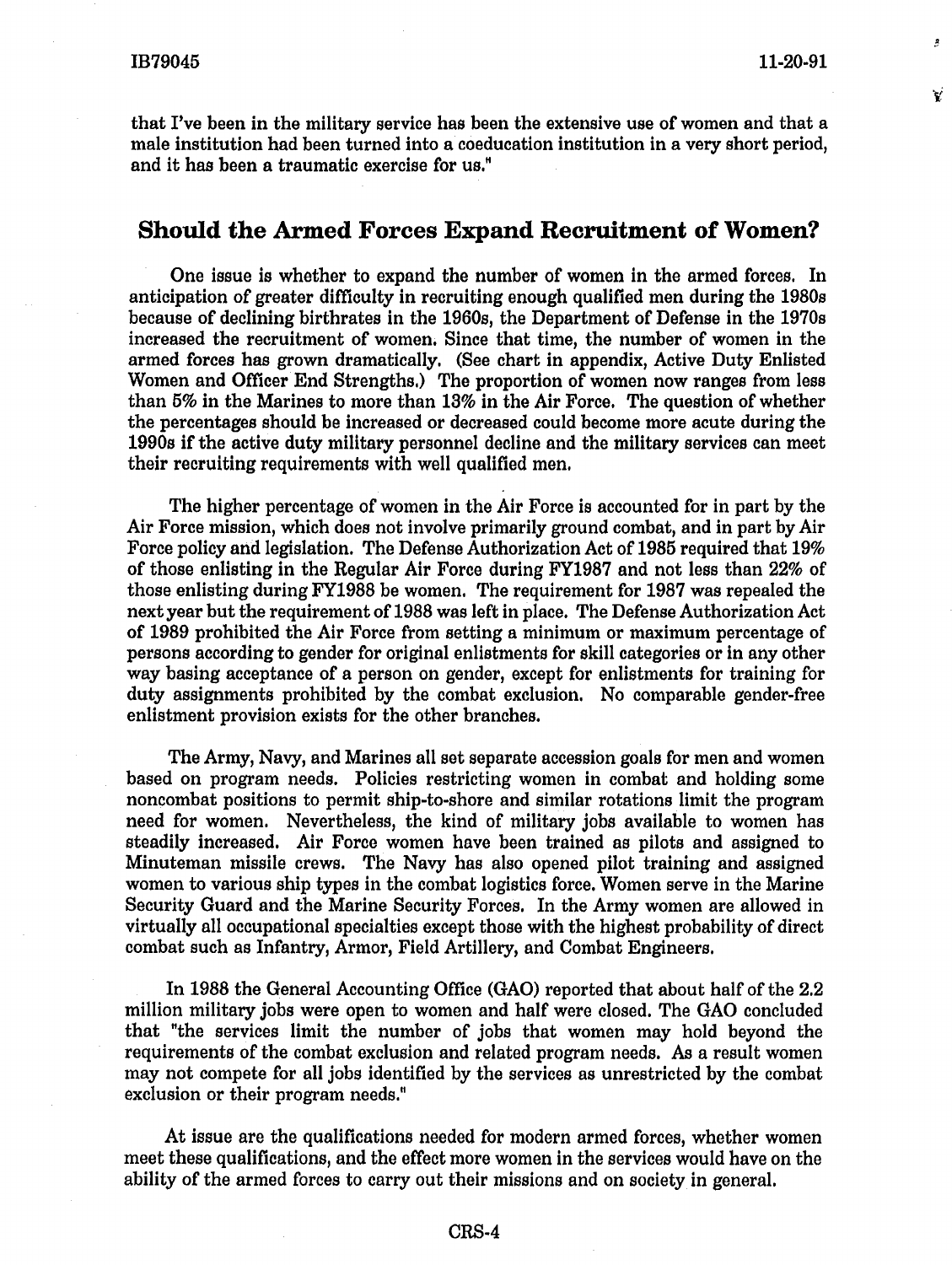V

that I've been in the military service has been the extensive use of women and that a male institution had been turned into a coeducation institution in a very short period, and it has been a traumatic exercise for us."

# **Should the Armed Forces Expand Recruitment of Women?**

One issue is whether to expand the number of women in the armed forces. In anticipation of greater difficulty in recruiting enough qualified men during the 1980s because of declining birthrates in the 1960s, the Department of Defense in the 1970s increased the recruitment of women. Since that time, the number of women in the armed forces has grown dramatically. (See chart in appendix, Active Duty Enlisted Women and Officer End Strengths.) The proportion of women now ranges from less than 5% in the Marines to more than 13% in the Air Force. The question of whether the percentages should be increased or decreased could become more acute during the 1990s if the active duty military personnel decline and the military services can meet their recruiting requirements with well qualified men.

The higher percentage of women in the Air Force is accounted for in part by the Air Force mission, which does not involve primarily ground combat, and in part by Air Force policy and legislation. The Defense Authorization Act of 1985 required that 19% of those enlisting in the Regular Air Force during FY1987 and not less than 22% of those enlisting during FY1988 be women. The requirement for 1987 was repealed the next year but the requirement of 1988 was left in place. The Defense Authorization Act of 1989 prohibited the Air Force from setting a minimum or maximum percentage of persons according to gender for original enlistments for skill categories or in any other way basing acceptance of a person on gender, except for enlistments for training for duty assignments prohibited by the combat exclusion. No comparable gender-free enlistment provision exists for the other branches.

The Army, Navy, and Marines all set separate accession goals for men and women based on program needs. Policies restricting women in combat and holding some noncombat positions to permit ship-to-shore and similar rotations limit the program need for women. Nevertheless, the kind of military jobs available to women has steadily increased. Air Force women have been trained as pilots and assigned to Minuteman missile crews. The Navy has also opened pilot training and assigned women to various ship types in the combat logistics force. Women serve in the Marine Security Guard and the Marine Security Forces. In the Army women are allowed in virtually all occupational specialties except those with the highest probability of direct combat such as Infantry, Armor, Field Artillery, and Combat Engineers.

In 1988 the General Accounting Office (GAO) reported that about half of the 2.2 million military jobs were open to women and half were closed. The GAO concluded that "the services limit the number of jobs that women may hold beyond the requirements of the combat exclusion and related program needs. As a result women may not compete for all jobs identified by the services as unrestricted by the combat exclusion or their program needs."

At issue are the qualifications needed for modern armed forces, whether women meet these qualifications, and the effect more women in the services would have on the ability of the armed forces to carry out their missions and on society in general.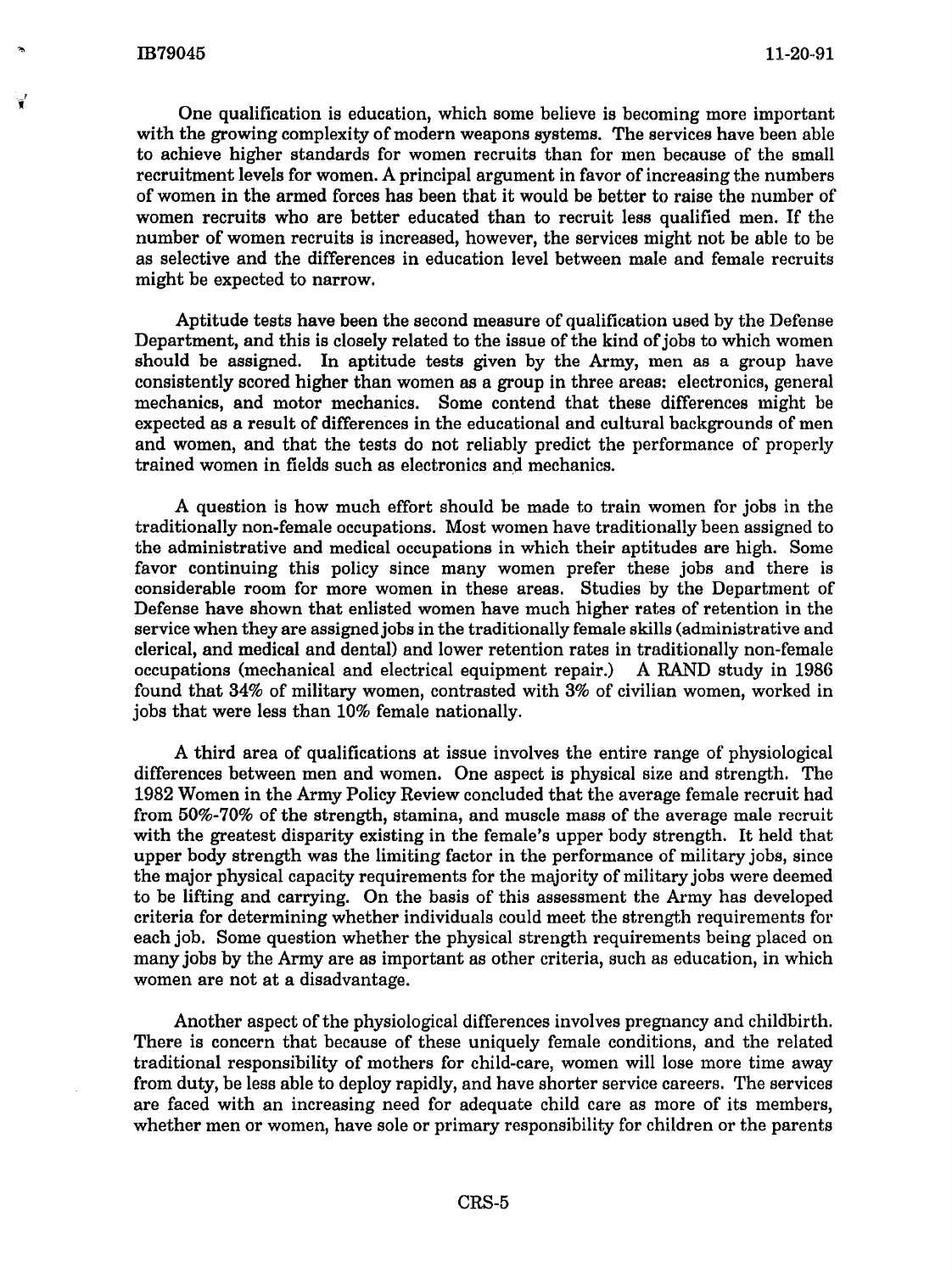One qualification is education, which some believe is becoming more important with the growing complexity of modern weapons systems. The services have been able to achieve higher standards for women recruits than for men because of the small recruitment levels for women. A principal argument in favor of increasing the numbers of women in the armed forces has been that it would be better to raise the number of women recruits who are better educated than to recruit less qualified men. If the number of women recruits is increased, however, the services might not be able to be as selective and the differences in education level between male and female recruits might be expected to narrow.

Aptitude tests have been the second measure of qualification used by the Defense Department, and this is closely related to the issue of the kind of jobs to which women should be assigned. In aptitude tests given by the Army, men as a group have consistently scored higher than women as a group in three areas: electronics, general mechanics, and motor mechanics. Some contend that these differences might be expected as a result of differences in the educational and cultural backgrounds of men and women, and that the tests do not reliably predict the performance of properly trained women in fields such as electronics and mechanics.

A question is how much effort should be made to train women for jobs in the traditionally non-female occupations. Most women have traditionally been assigned to the administrative and medical occupations in which their aptitudes are high. Some favor continuing this policy since many women prefer these jobs and there is considerable room for more women in these areas. Studies by the Department of Defense have shown that enlisted women have much higher rates of retention in the service when they are assigned jobs in the traditionally female skills (administrative and clerical, and medical and dental) and lower retention rates in traditionally non-female occupations (mechanical and electrical equipment repair.) A RAND study in 1986 found that 34% of military women, contrasted with 3% of civilian women, worked in jobs that were less than 10% female nationally.

A third area of qualifications at issue involves the entire range of physiological differences between men and women. One aspect is physical size and strength. The 1982 Women in the Army Policy Review concluded that the average female recruit had from 50%-70% of the strength, stamina, and muscle mass of the average male recruit with the greatest disparity existing in the female's upper body strength. It held that upper body strength was the limiting factor in the performance of military jobs, since the major physical capacity requirements for the majority of military jobs were deemed to be lifting and carrying. On the basis of this assessment the Army has developed criteria for determining whether individuals could meet the strength requirements for each job. Some question whether the physical strength requirements being placed on many jobs by the Army are as important as other criteria, such as education, in which women are not at a disadvantage.

Another aspect of the physiological differences involves pregnancy and childbirth. There is concern that because of these uniquely female conditions, and the related traditional responsibility of mothers for child-care, women will lose more time away from duty, be less able to deploy rapidly, and have shorter service careers. The services are faced with an increasing need for adequate child care as more of its members, whether men or women, have sole or primary responsibility for children or the parents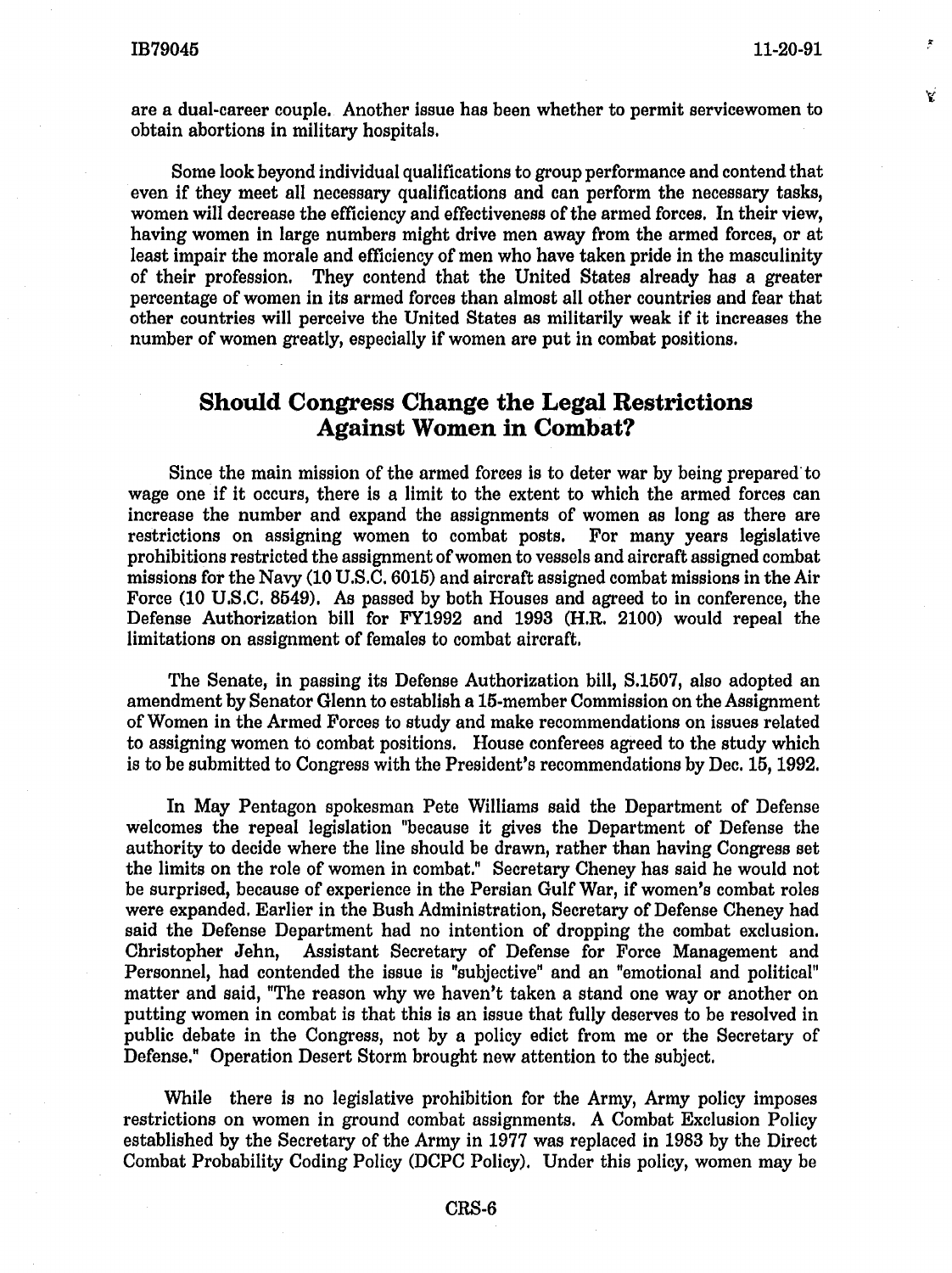V

are a dual-career couple. Another issue has been whether to permit servicewomen to obtain abortions in military hospitals.

Some look beyond individual qualifications to group performance and contend that even if they meet all necessary qualifications and can perform the necessary tasks, women will decrease the efficiency and effectiveness of the armed forces. In their view, having women in large numbers might drive men away from the armed forces, or at least impair the morale and efficiency of men who have taken pride in the masculinity of their profession. They contend that the United States already has a greater percentage of women in its armed forces than almost all other countries and fear that other countries will perceive the United States as militarily weak if it increases the number of women greatly, especially if women are put in combat positions.

# **Should Congress Change the Legal Restrictions Against Women in Combat?**

Since the main mission of the armed forees is to deter war by being prepared·to wage one if it occurs, there is a limit to the extent to which the armed forces can increase the number and expand the assignments of women as long as there are restrictions on assigning women to combat posts. For many years legislative prohibitions restricted the assignment of women to vessels and aircraft assigned combat missions for the Navy (10 U.S.C. 6016) and aircraft assigned combat missions in the Air Force (10 U.S.C. 8549). As passed by both Houses and agreed to in conference, the Defense Authorization bill for FY1992 and 1993 (H.R. 2100) would repeal the limitations on assignment of females to combat aircraft.

The Senate, in passing its Defense Authorization bill, S.1507, also adopted an amendment by Senator Glenn to establish a 16-member Commission on the Assignment of Women in the Armed Forces to study and make recommendations on issues related to assigning women to combat positions. House conferees agreed to the study which is to be submitted to Congress with the President's recommendations by Dec. 15, 1992.

In May Pentagon spokesman Pete Williams said the Department of Defense welcomes the repeal legislation "because it gives the Department of Defense the authority to decide where the line should be drawn, rather than having Congress set the limits on the role of women in combat." Secretary Cheney has said he would not be surprised, because of experience in the Persian Gulf War, if women's combat roles were expanded. Earlier in the Bush Administration, Secretary of Defense Cheney had said the Defense Department had no intention of dropping the combat exclusion. Christopher Jehn, Assistant Secretary of Defense for Force Management and Personnel, had contended the issue is "subjective" and an "emotional and political" matter and said, "The reason why we haven't taken a stand one way or another on putting women in combat is that this is an issue that fully deserves to be resolved in public debate in the Congress, not by a policy edict from me or the Secretary of Defense." Operation Desert Storm brought new attention to the subject.

While there is no legislative prohibition for the Army, Army policy imposes restrictions on women in ground combat assignments. *A* Combat Exclusion Policy established by the Secretary of the Army in 1977 was replaced in 1983 by the Direct Combat Probability Coding Policy (DCPC Policy). Under this policy, women may be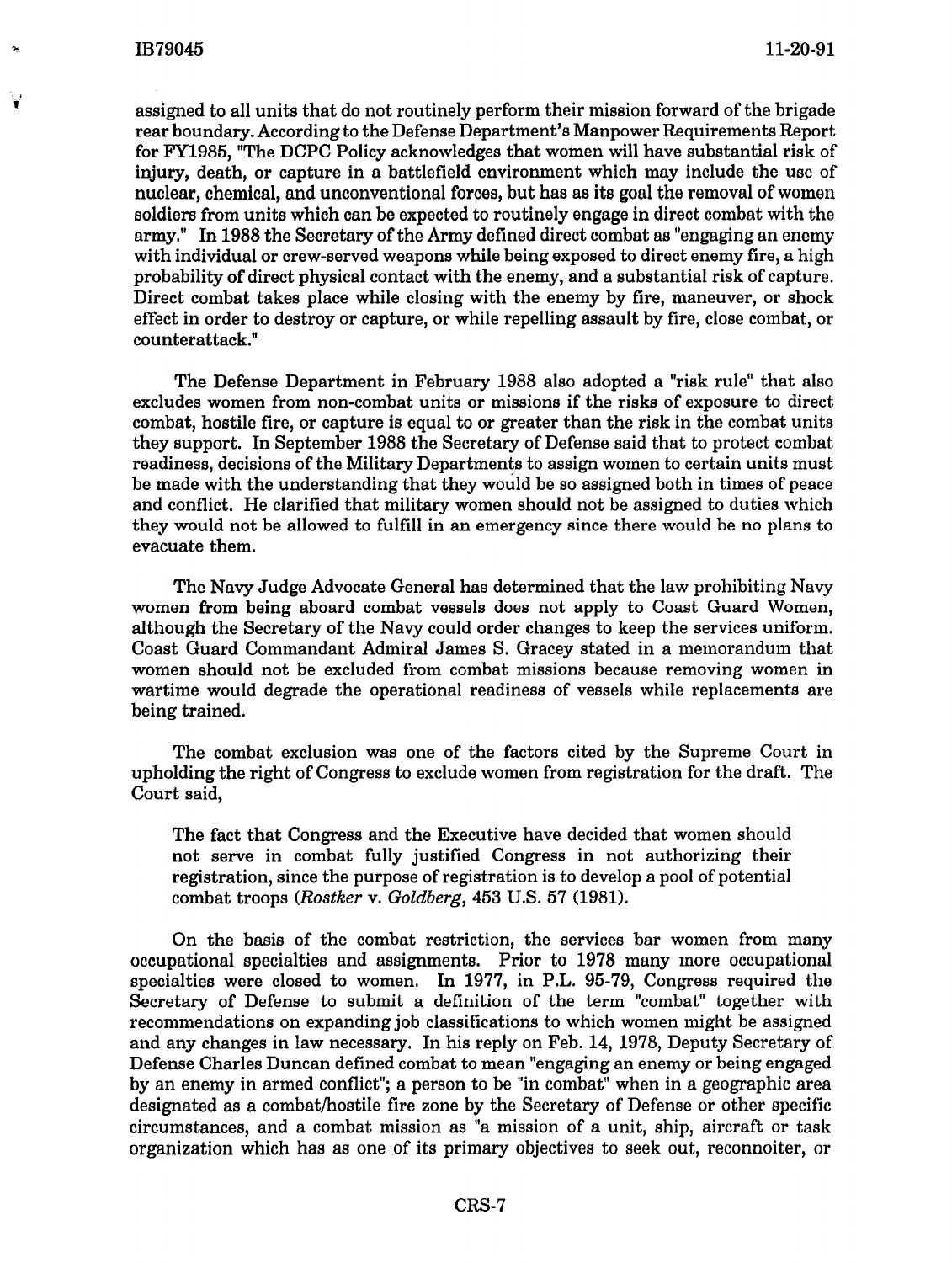$\hat{\mathbf{r}}$ 

assigned to all units that do not routinely perform their mission forward of the brigade rear boundary. According to the Defense Department's Manpower Requirements Report for FY1985, "The DCPC Policy acknowledges that women will have substantial risk of injury, death, or capture in a battlefield environment which may include the use of nuclear, chemical, and unconventional forces, but has as its goal the removal of women soldiers from units which can be expected to routinely engage in direct combat with the army." In 1988 the Secretary of the Army defined direct combat as "engaging an enemy with individual or crew-served weapons while being exposed to direct enemy fire, a high probability of direct physical contact with the enemy, and a substantial risk of capture. Direct combat takes place while closing with the enemy by fire, maneuver, or shock effect in order to destroy or capture, or while repelling assault by fire, close combat, or counterattack."

The Defense Department in February 1988 also adopted a "risk rule" that also excludes women from non-combat units or missions if the risks of exposure to direct combat, hostile fire, or capture is equal to or greater than the risk in the combat units they support. In September 1988 the Secretary of Defense said that to protect combat readiness, decisions of the Military Departments to assign women to certain units must be made with the understanding that they would be so assigned both in times of peace and conflict. He clarified that military women should not be assigned to duties which they would not be allowed to fulfill in an emergency since there would be no plans to evacuate them.

The Navy Judge Advocate General has determined that the law prohibiting Navy women from being aboard combat vessels does not apply to Coast Guard Women, although the Secretary of the Navy could order changes to keep the services uniform. Coast Guard Commandant Admiral James S. Gracey stated in a memorandum that women should not be excluded from combat missions because removing women in wartime would degrade the operational readiness of vessels while replacements are being trained.

The combat exclusion was one of the factors cited by the Supreme Court in upholding the right of Congress to exclude women from registration for the draft. The Court said,

The fact that Congress and the Executive have decided that women should not serve in combat fully justified Congress in not authorizing their registration, since the purpose of registration is to develop a pool of potential combat troops *(Rostker* v. *Goldberg,* 453 U.S. 57 (1981).

On the basis of the combat restriction, the services bar women from many occupational specialties and assignments. Prior to 1978 many more occupational specialties were closed to women. In 1977, in P.L. 95-79, Congress required the Secretary of Defense to submit a definition of the term "combat" together with recommendations on expanding job classifications to which women might be assigned and any changes in law necessary. In his reply on Feb. 14, 1978, Deputy Secretary of Defense Charles Duncan defined combat to mean "engaging an enemy or being engaged by an enemy in armed conflict"; a person to be "in combat" when in a geographic area designated as a combat/hostile fire zone by the Secretary of Defense or other specific circumstances, and a combat mission as "a mission of a unit, ship, aircraft or task organization which has as one of its primary objectives to seek out, reconnoiter, or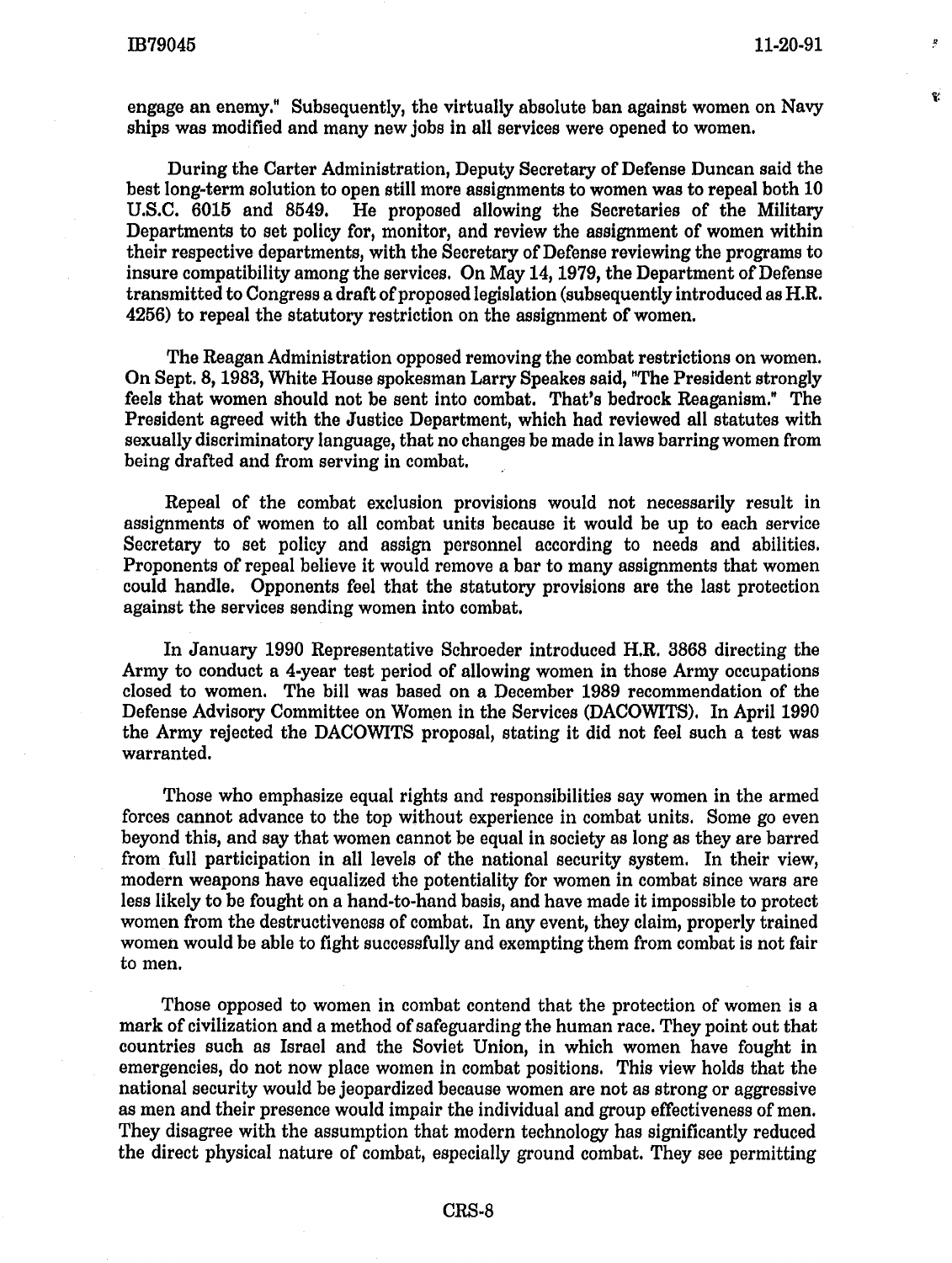R

Ÿ

engage an enemy." Subsequently, the virtually absolute ban against women on Navy ships was modified and many new jobs in all services were opened to women.

During the Carter Administration, Deputy Secretary of Defense Duncan said the best long-term solution to open still more assignments to women was to repeal both 10 U.S.C. 6015 and 8549. He proposed allowing the Secretaries of the Military Departments to set policy for, monitor, and review the assignment of women within their respective departments, with the Secretary of Defense reviewing the programs to insure compatibility among the services. On May 14, 1979, the Department of Defense transmitted to Congress a draft of proposed legislation (subsequently introduced as H.R. 4256) to repeal the statutory restriction on the assignment of women.

The Reagan Administration opposed removing the combat restrictions on women. On Sept. 8, 1983, White House spokesman Larry Speakes said, "The President strongly feels that women should not be sent into combat. That's bedrock Reaganism." The President agreed with the Justice Department, which had reviewed all statutes with sexually discriminatory language, that no changes be made in laws barring women from being drafted and from serving in combat.

Repeal of the combat exclusion provisions would not necessarily result in assignments of women to all combat units because it would be up to each service Secretary to set policy and assign personnel according to needs and abilities. Proponents of repeal believe it would remove a bar to many assignments that women could handle. Opponents feel that the statutory provisions are the last protection against the services sending women into combat.

In January 1990 Representative Schroeder introduced H.R. 3868 directing the Army to conduct a 4-year test period of allowing women in those Army occupations closed to women. The bill was based on a December 1989 recommendation of the Defense Advisory Committee on Women in the Services (DACOWITS). In April 1990 the Army rejected the DACOWITS proposal, stating it did not feel such a test was warranted.

Those who emphasize equal rights and responsibilities say women in the armed forces cannot advance to the top without experience in combat units. Some go even beyond this, and say that women cannot be equal in society as long as they are barred from full participation in all levels of the national security system. In their view, modern weapons have equalized the potentiality for women in combat since wars are less likely to be fought on a hand-to-hand basis, and have made it impossible to protect women from the destructiveness of combat. In any event, they claim, properly trained women would be able to fight successfully and exempting them from combat is not fair to men.

Those opposed to women in combat contend that the protection of women is a mark of civilization and a method of safeguarding the human race. They point out that countries such as Israel and the Soviet Union, in which women have fought in emergencies, do not now place women in combat positions. This view holds that the national security would be jeopardized because women are not as strong or aggressive as men and their presence would impair the individual and group effectiveness of men. They disagree with the assumption that modern technology has significantly reduced the direct physical nature of combat, especially ground combat. They see permitting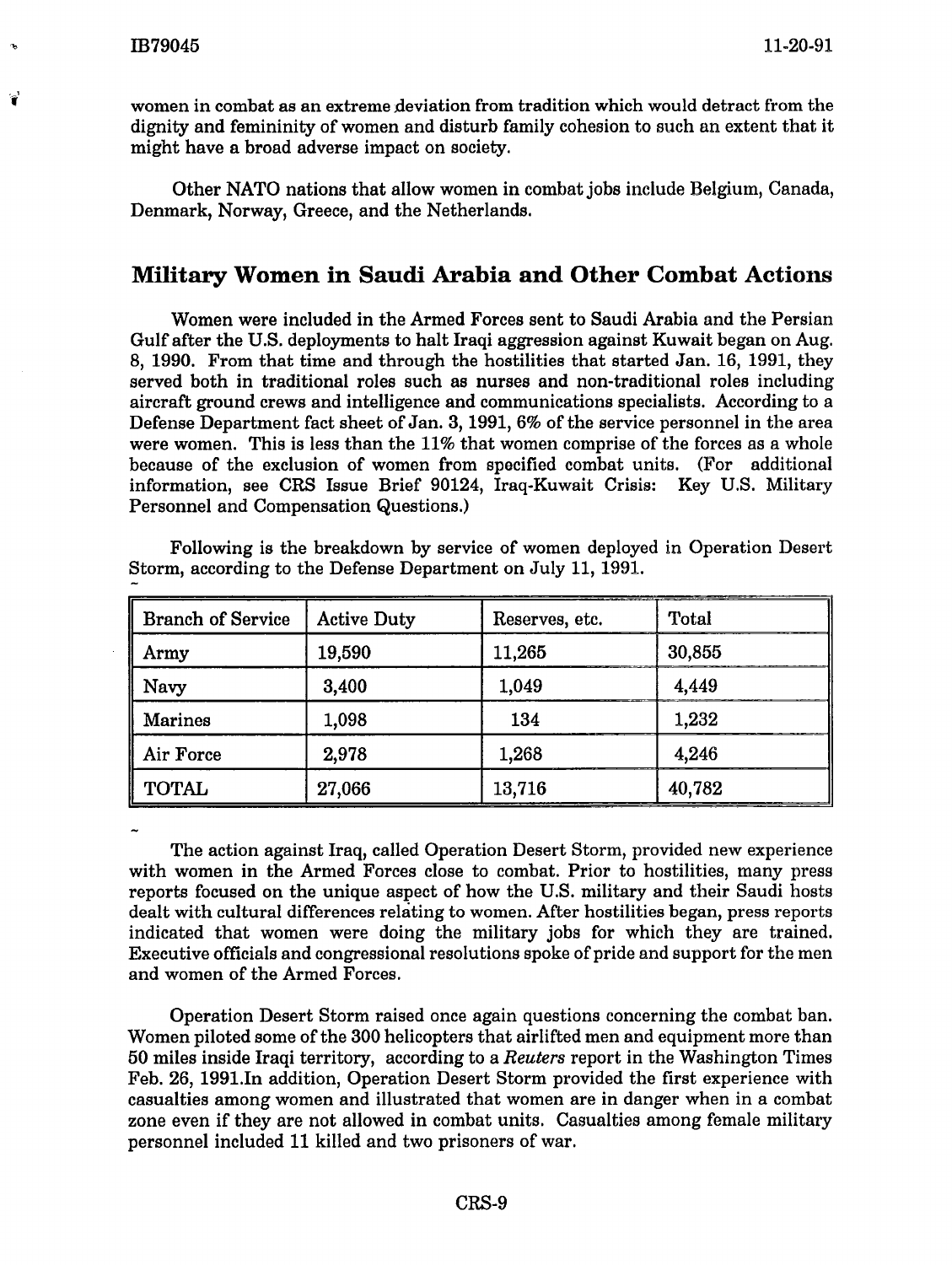women in combat as an extreme deviation from tradition which would detract from the dignity and femininity of women and disturb family cohesion to such an extent that it might have a broad adverse impact on society.

Other NATO nations that allow women in combat jobs include Belgium, Canada, Denmark, Norway, Greece, and the Netherlands.

# **Military Women in Saudi Arabia and Other Combat Actions**

Women were included in the Armed Forces sent to Saudi Arabia and the Persian Gulf after the U.S. deployments to halt Iraqi aggression against Kuwait began on Aug. 8, 1990. From that time and through the hostilities that started Jan. 16, 1991, they served both in traditional roles such as nurses and non-traditional roles including aircraft ground crews and intelligence and communications specialists. According to a Defense Department fact sheet of Jan. 3, 1991, 6% of the service personnel in the area were women. This is less than the 11% that women comprise of the forces as a whole because of the exclusion of women from specified combat units. (For additional information, see CRS Issue Brief 90124, Iraq-Kuwait Crisis: Key U.S. Military Personnel and Compensation Questions.)

| <b>Branch of Service</b> | <b>Active Duty</b> | Reserves, etc. | Total  |
|--------------------------|--------------------|----------------|--------|
| Army                     | 19,590             | 11,265         | 30,855 |
| Navy                     | 3,400              | 1,049          | 4,449  |
| <b>Marines</b>           | 1,098              | 134            | 1,232  |
| Air Force                | 2,978              | 1,268          | 4,246  |
| <b>TOTAL</b>             | 27,066             | 13,716         | 40,782 |

Following is the breakdown by service of women deployed in Operation Desert Storm, according to the Defense Department on July 11, 1991.

The action against Iraq, called Operation Desert Storm, provided new experience with women in the Armed Forces close to combat. Prior to hostilities, many press reports focused on the unique aspect of how the U.S. military and their Saudi hosts dealt with cultural differences relating to women. After hostilities began, press reports indicated that women were doing the military jobs for which they are trained. Executive officials and congressional resolutions spoke of pride and support for the men and women of the Armed Forces.

Operation Desert Storm raised once again questions concerning the combat ban. Women piloted some of the 300 helicopters that airlifted men and equipment more than 50 miles inside Iraqi territory, according to a *Reuters* report in the Washington Times Feb. 26, 1991.In addition, Operation Desert Storm provided the first experience with casualties among women and illustrated that women are in danger when in a combat zone even if they are not allowed in combat units. Casualties among female military personnel included 11 killed and two prisoners of war.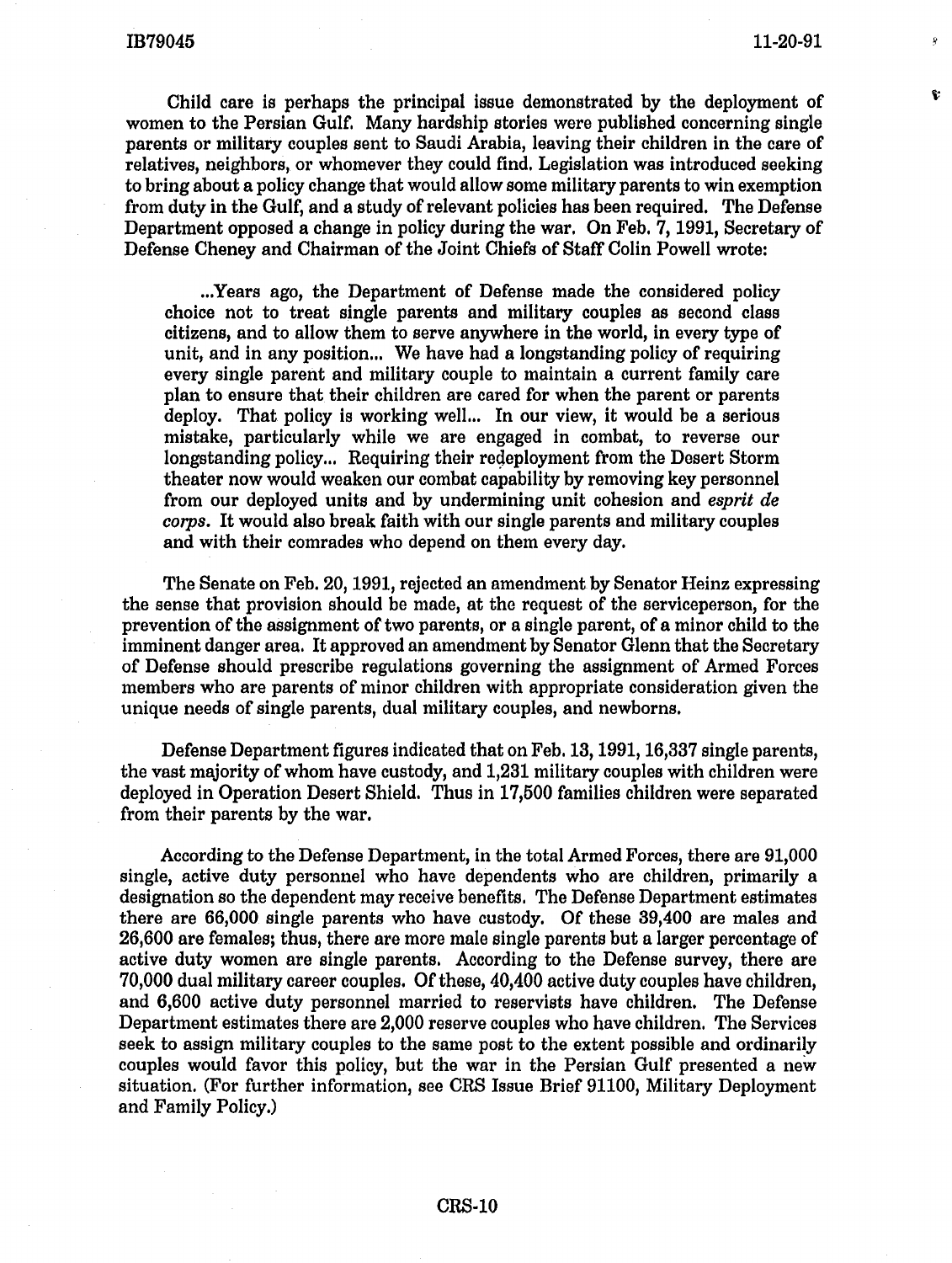ę.

Child care is perhaps the principal issue demonstrated by the deployment of women to the Persian Gulf. Many hardship stories were published concerning single parents or military couples sent to Saudi Arabia, leaving their children in the care of relatives, neighbors, or whomever they could find. Legislation was introduced seeking to bring about a policy change that would allow some military parents to win exemption from duty in the Gulf, and a study of relevant policies has been required. The Defense Department opposed a change in policy during the war. On Feb. 7, 1991, Secretary of Defense Cheney and Chairman of the Joint Chiefs of Staff Colin Powell wrote:

... Years ago, the Department of Defense made the considered policy choice not to treat single parents and military couples as second class citizens, and to allow them to serve anywhere in the world, in every type of unit, and in any position... We have had a longstanding policy of requiring every single parent and military couple to maintain a current family care plan to ensure that their children are cared for when the parent or parents deploy. That policy is working well... In our view, it would be a serious mistake, particularly while we are engaged in combat, to reverse our longstanding policy... Requiring their regeployment from the Desert Storm theater now would weaken our combat capability by removing key personnel from our deployed units and by undermining unit cohesion and *esprit de corps.* It would also break faith with our single parents and military couples and with their comrades who depend on them every day.

The Senate on Feb. 20, 1991, rejected an amendment by Senator Heinz expressing the sense that provision should be made, at the request of the serviceperson, for the prevention of the assignment of two parents, or a single parent, of a minor child to the imminent danger area. It approved an amendment by Senator Glenn that the Secretary of Defense should prescribe regulations governing the assignment of Armed Forces members who are parents of minor children with appropriate consideration given the unique needs of single parents, dual military couples, and newborns.

Defense Department figures indicated that on Feb. 13, 1991, 16,337 single parents, the vast majority of whom have custody, and 1,231 military couples with children were deployed in Operation Desert Shield. Thus in 17,500 families children were separated from their parents by the war.

According to the Defense Department, in the total Armed Forces, there are 91,000 single, active duty personnel who have dependents who are children, primarily a designation so the dependent may receive benefits. The Defense Department estimates there are 66,000 single parents who have custody, Of these 39,400 are males and 26,600 are females; thus, there are more male single parents but a larger percentage of active duty women are single parents. According to the Defense survey, there are 70,000 dual military career couples. Of these, 40,400 active duty couples have children, and 6,600 active duty personnel married to reservists have children. The Defense Department estimates there are 2,000 reserve couples who have children. The Services seek to assign military couples to the same post to the extent possible and ordinarily couples would favor this policy, but the war in the Persian Gulf presented a new situation. (For further information, see CRS Issue Brief 91100, Military Deployment and Family Policy.)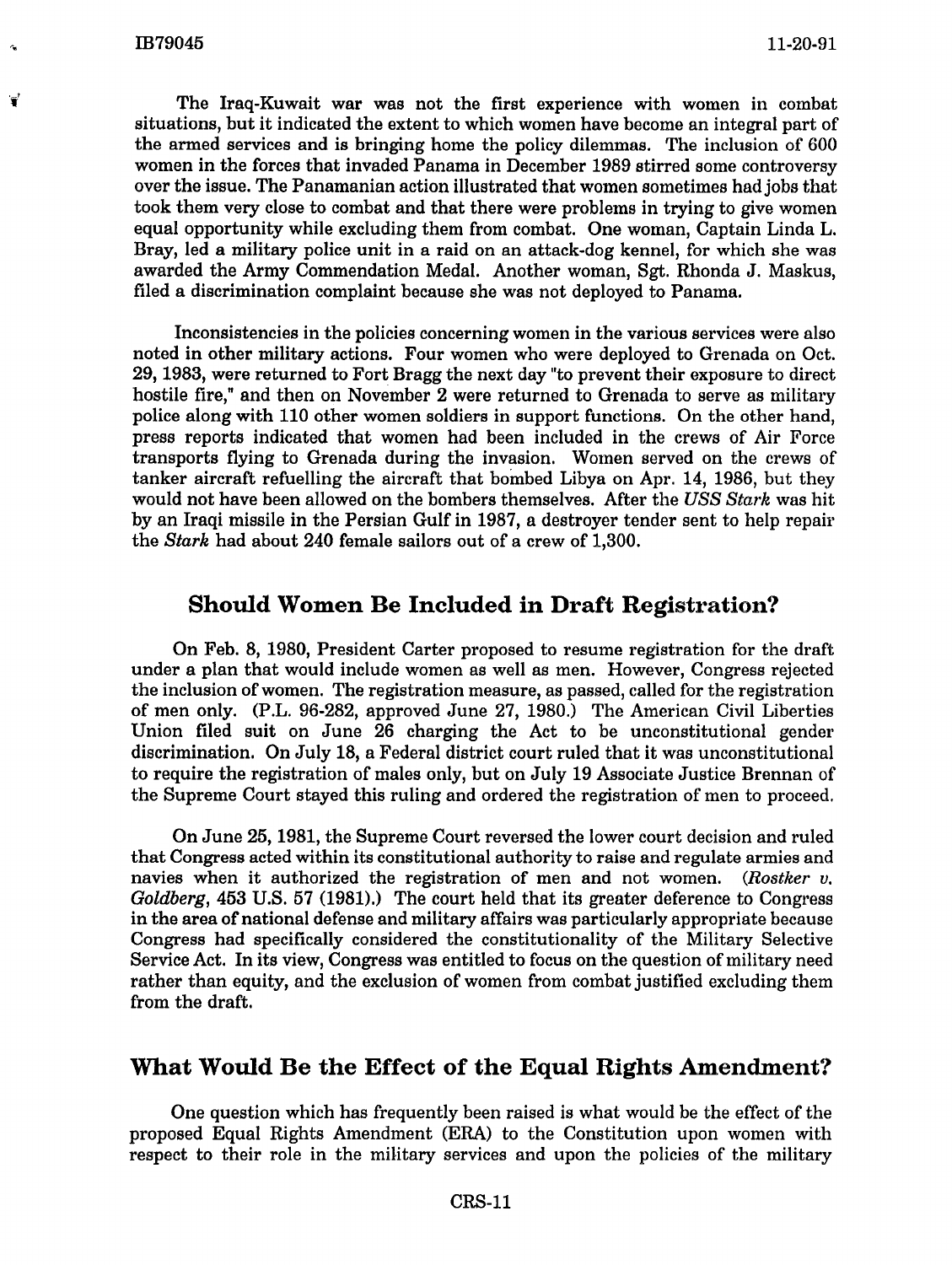••

The Iraq-Kuwait war was not the first experience with women in combat situations, but it indicated the extent to which women have become an integral part of the armed services and is bringing home the policy dilemmas. The inclusion of 600 women in the forces that invaded Panama in December 1989 stirred some controversy over the issue. The Panamanian action illustrated that women sometimes had jobs that took them very close to combat and that there were problems in trying to give women equal opportunity while excluding them from combat. One woman, Captain Linda L. Bray, led a military police unit in a raid on an attack-dog kennel, for which she was awarded the Army Commendation Medal. Another woman, Sgt. Rhonda J. Maskus, filed a discrimination complaint because she was not deployed to Panama.

Inconsistencies in the policies concerning women in the various services were also noted in other military actions. Four women who were deployed to Grenada on Oct. 29, 1983, were returned to Fort Bragg the next day "to prevent their exposure to direct hostile fire," and then on November 2 were returned to Grenada to serve as military police along with 110 other women soldiers in support functions. On the other hand, press reports indicated that women had been included in the crews of Air Force transports flying to Grenada during the invasion. Women served on the crews of tanker aircraft refuelling the aircraft that bombed Libya on Apr. 14, 1986, but they would not have been allowed on the bombers themselves. After the *USS Stark* was hit by an Iraqi missile in the Persian Gulf in 1987, a destroyer tender sent to help repair the *Stark* had about 240 female sailors out of a crew of 1,300.

# Should Women Be Included in Draft Registration?

On Feb. 8, 1980, President Carter proposed to resume registration for the draft under a plan that would include women as well as men. However, Congress rejected the inclusion of women. The registration measure, as passed, called for the registration of men only. (P.L. 96-282, approved June 27, 1980.) The American Civil Liberties Union filed suit on June 26 charging the Act to be unconstitutional gender discrimination. On July 18, a Federal district court ruled that it was unconstitutional to require the registration of males only, but on July 19 Associate Justice Brennan of the Supreme Court stayed this ruling and ordered the registration of men to proceed.

On June 25, 1981, the Supreme Court reversed the lower court decision and ruled that Congress acted within its constitutional authority to raise and regulate armies and navies when it authorized the registration of men and not women. *(Rostker v. Goldberg,* 453 U.S. 57 (1981).) The court held that its greater deference to Congress in the area of national defense and military affairs was particularly appropriate because Congress had specifically considered the constitutionality of the Military Selective Service Act. In its view, Congress was entitled to focus on the question of military need rather than equity, and the exclusion of women from combat justified excluding them from the draft.

# What Would Be the Effect of the Equal Rights Amendment?

One question which has frequently been raised is what would be the effect of the proposed Equal Rights Amendment (ERA) to the Constitution upon women \vith respect to their role in the military services and upon the policies of the military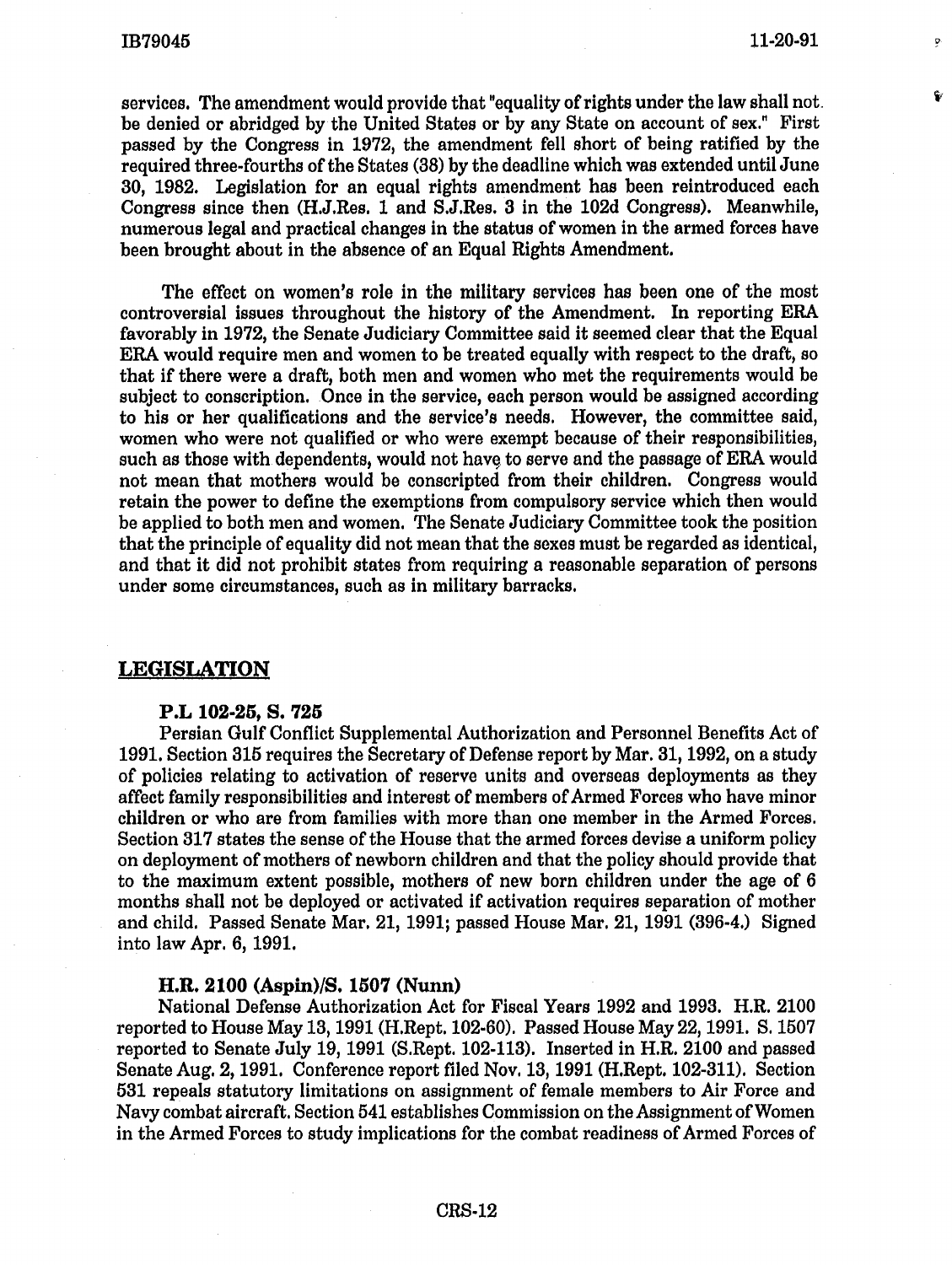Ď.

ę,

services. The amendment would provide that "equality of rights under the law shall not. be denied or abridged by the United States or by any State on account of sex." First passed by the Congress in 1972, the amendment fell short of being ratified by the required three-fourths of the States (38) by the deadline which was extended until June 30, 1982. Legislation for an equal rights amendment has been reintroduced each Congress since then (H.J.Res. 1 and S.J.Res. 3 in the 102d Congress). Meanwhile, numerous legal and practical changes in the status of women in the armed forces have been brought about in the absence of an Equal Rights Amendment.

The effect on women's role in the military services has been one of the most controversial issues throughout the history of the Amendment. In reporting ERA favorably in 1972, the Senate Judiciary Committee said it seemed clear that the Equal ERA would require men and women to be treated equally with respect to the draft, so that if there were a draft, both men and women who met the requirements would be subject to conscription. Once in the service, each person would be assigned according to his or her qualifications and the service's needs. However, the committee said, women who were not qualified or who were exempt because of their responsibilities, such as those with dependents, would not have to serve and the passage of ERA would not mean that mothers would be conscripted from their children. Congress would retain the power to define the exemptions from compulsory service which then would be applied to both men and women. The Senate Judiciary Committee took the position that the principle of equality did not mean that the sexes must be regarded as identical, and that it did not prohibit states from requiring a reasonable separation of persons under some circumstances, such as in military barracks.

## LEGISLATION

#### P.L 102-25, S. 725

Persian Gulf Conflict Supplemental Authorization and Personnel Benefits Act of 1991. Section 315 requires the Secretary of Defense report by Mar. 31, 1992, on a study of policies relating to activation of reserve units and overseas deployments as they affect family responsibilities and interest of members of Armed Forces who have minor children or who are from families with more than one member in the Armed Forces. Section 317 states the sense of the House that the armed forces devise a uniform policy on deployment of mothers of newborn children and that the policy should provide that to the maximum extent possible, mothers of new born children under the age of 6 months shall not be deployed or activated if activation requires separation of mother and child. Passed Senate Mar. 21, 1991; passed House Mar. 21, 1991 (396-4.) Signed into law Apr. 6, 1991.

## H.R. 2100 (Aspin)/S. 150'7 (Nunn)

National Defense Authorization Act for Fiscal Years 1992 and 1993. H.R. 2100 reported to House May 13, 1991 (H.Rept. 102-60). Passed House May 22, 1991. S. 1507 reported to Senate July 19, 1991 (S.Rept. 102-113). Inserted in H.R. 2100 and passed Senate Aug. 2, 1991. Conference report filed Nov. 13, 1991 (H.Rept. 102-311). Section 531 repeals statutory limitations on assignment of female members to Air Force and Navy combat aircraft. Section 541 establishes Commission on the Assignment ofWomen in the Armed Forces to study implications for the combat readiness of Armed Forces of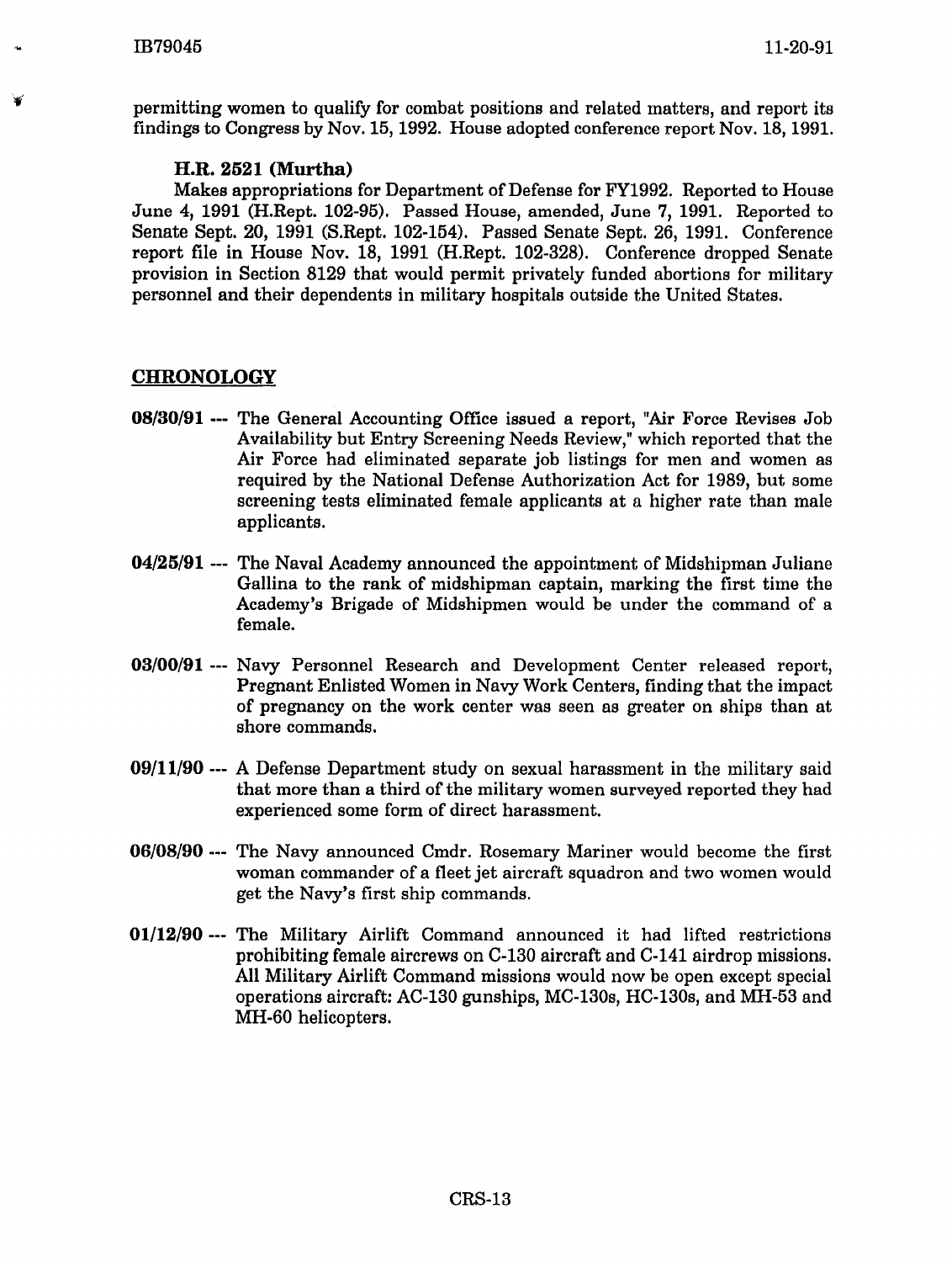permitting women to qualify for combat positions and related matters, and report its findings to Congress by Nov.15, 1992. House adopted conference report Nov. 18, 1991.

## **H.R. 2521 (Murtha)**

Makes appropriations for Department of Defense for F¥1992. Reported to House June 4, 1991 (H.Rept. 102-95). Passed House, amended, June 7, 1991. Reported to Senate Sept. 20, 1991 (S.Rept. 102-154). Passed Senate Sept. 26, 1991. Conference report file in House Nov. 18, 1991 (H.Rept. 102-328). Conference dropped Senate provision in Section 8129 that would permit privately funded abortions for military personnel and their dependents in military hospitals outside the United States.

## **CHRONOLOGY**

- **08/30/91** --- The General Accounting Office issued a report, "Air Force Revises Job Availability but Entry Screening Needs Review," which reported that the Air Force had eliminated separate job listings for men and women as required by the National Defense Authorization Act for 1989, but some screening tests eliminated female applicants at a higher rate than male applicants.
- **04/25/91** --- The Naval Academy announced the appointment of Midshipman Juliane Gallina to the rank of midshipman captain, marking the first time the Academy's Brigade of Midshipmen would be under the command of a female.
- **03/00/91** --- Navy Personnel Research and Development Center released report, Pregnant Enlisted Women in Navy Work Centers, finding that the impact of pregnancy on the work center was seen as greater on ships than at shore commands.
- **09/11/90** --- A Defense Department study on sexual harassment in the military said that more than a third of the military women surveyed reported they had experienced some form of direct harassment.
- **06/08/90** --- The Navy announced Cmdr. Rosemary Mariner would become the first woman commander of a fleet jet aircraft squadron and two women would get the Navy's first ship commands.
- **01/12/90** --- The Military Airlift Command announced it had lifted restrictions prohibiting female aircrews on C-130 aircraft and C-141 airdrop missions. All Military Airlift Command missions would now be open except special operations aircraft: AC-130 gunships, MC-130s, HC-130s, and MH-53 and MH-60 helicopters.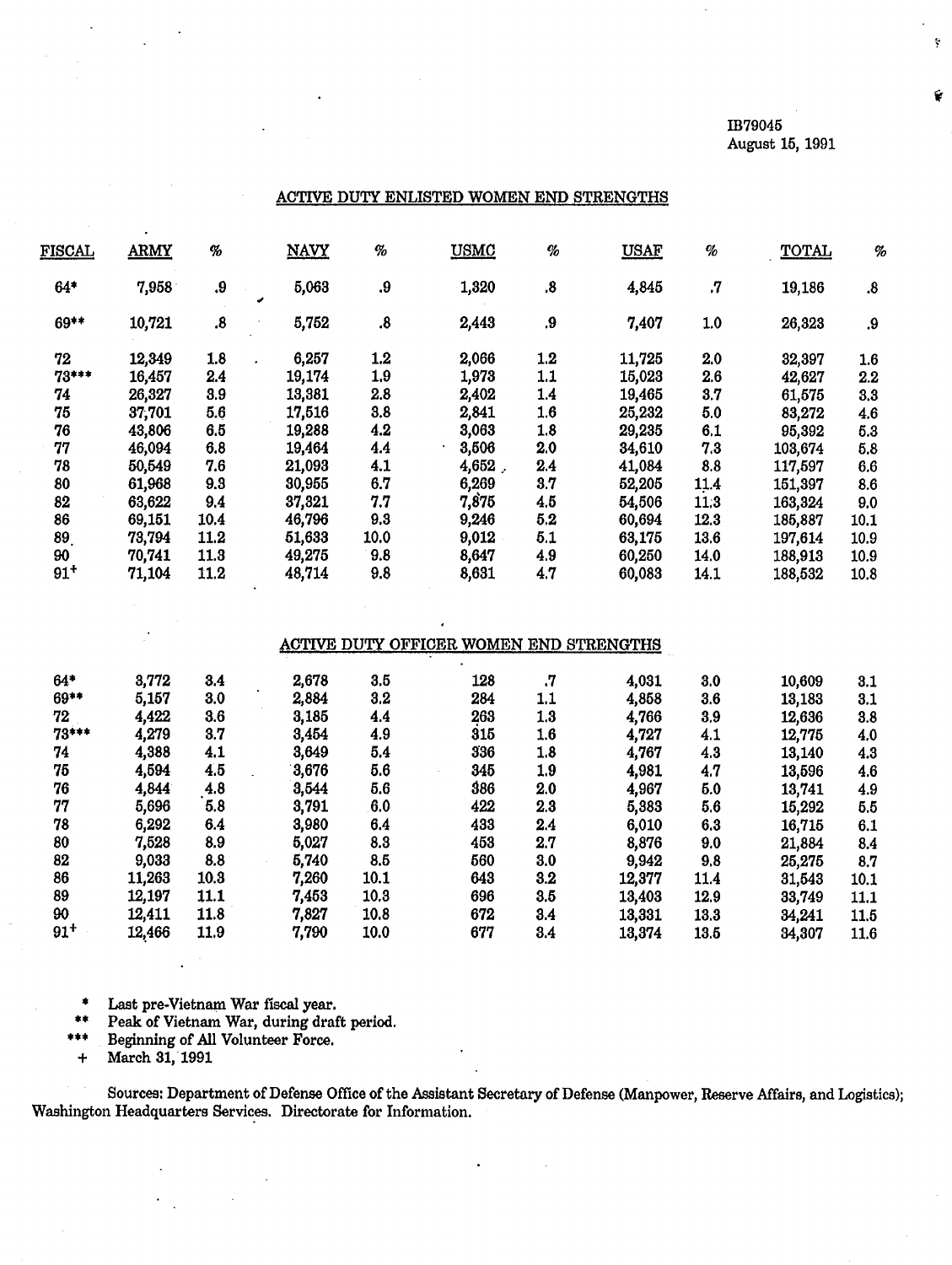IB79045 August 15, 1991 ţ.

#### ACTIVE DUTY ENLISTED WOMEN END STRENGTHS

| <b>FISCAL</b> | <b>ARMY</b> | %                 | <b>NAVY</b> | $\%$              | <b>USMC</b> | $\eta_o$          | <b>USAF</b> | $\%$    | <b>TOTAL</b> | $\%$    |
|---------------|-------------|-------------------|-------------|-------------------|-------------|-------------------|-------------|---------|--------------|---------|
| $64*$         | 7,958       | .9                | 5,063       | .9                | 1,320       | $\boldsymbol{.8}$ | 4,845       | $\cdot$ | 19,186       | .8      |
| 69**          | 10,721      | $\boldsymbol{.8}$ | 5,752       | $\boldsymbol{.8}$ | 2,443       | .9                | 7,407       | 1.0     | 26,323       | .9      |
| 72            | 12,349      | 1.8               | 6,257       | 1.2               | 2,066       | $1.2\,$           | 11,725      | 2.0     | 32,397       | 1.6     |
| 73***         | 16,457      | 2.4               | 19,174      | 1.9               | 1,973       | 1.1               | 15,023      | 2.6     | 42,627       | $2.2\,$ |
| 74            | 26,327      | 3.9               | 13,381      | 2.8               | 2,402       | 1.4               | 19,465      | 3.7     | 61,575       | 3.3     |
| 75            | 37,701      | 5.6               | 17,516      | 3.8               | 2,841       | 1.6               | 25,232      | 5.0     | 83,272       | 4.6     |
| 76            | 43,806      | 6.5               | 19,288      | 4.2               | 3,063       | 1.8               | 29,235      | 6.1     | 95,392       | 5.3     |
| 77            | 46,094      | 6.8               | 19,464      | 4.4               | 3,506       | 2.0               | 34,610      | 7.3     | 103,674      | 5.8     |
| 78            | 50,549      | 7.6               | 21,093      | 4.1               | 4,652.      | 2.4               | 41,084      | 8.8     | 117,597      | 6.6     |
| 80            | 61,968      | 9.3               | 30,955      | 6.7               | 6,269       | 3.7               | 52,205      | 11.4    | 151,397      | 8.6     |
| 82            | 63,622      | 9.4               | 37,321      | 7.7               | 7,875       | 4,5               | 54,506      | 11:3    | 163,324      | 9.0     |
| 86            | 69,151      | 10.4              | 46,796      | 9.3               | 9,246       | 5.2               | 60,694      | 12.3    | 185,887      | 10.1    |
| 89            | 73,794      | 11.2              | 51,633      | 10.0              | 9,012       | 5.1               | 63,175      | 13.6    | 197,614      | 10.9    |
| 90            | 70,741      | 11.3              | 49,275      | 9.8               | 8,647       | 4.9               | 60,250      | 14.0    | 188,913      | 10.9    |
| $91^{+}$      | 71,104      | 11.2              | 48,714      | 9.8               | 8,631       | 4.7               | 60,083      | 14.1    | 188,532      | 10.8    |
|               |             |                   |             |                   |             |                   |             |         |              |         |

#### ACTIVE DUTY OFFICER WOMEN END STRENGTHS

| $64*$    | 3,772  | 3.4  | 2,678 | 3.5  | 128 | 7.      | 4,031  | 3.0  | 10,609 | 3.1  |
|----------|--------|------|-------|------|-----|---------|--------|------|--------|------|
| 69**     | 5,157  | 3.0  | 2,884 | 3.2  | 284 | 1.1     | 4,858  | 3.6  | 13,183 | 3.1  |
| 72       | 4,422  | 3.6  | 3,185 | 4.4  | 263 | 1.3     | 4,766  | 3,9  | 12,636 | 3.8  |
| 73***    | 4,279  | 3.7  | 3,454 | 4.9  | 315 | 1.6     | 4,727  | 4.1  | 12,775 | 4.0  |
| 74       | 4,388  | 4.1  | 3,649 | 5.4  | 336 | 1.8     | 4,767  | 4.3  | 13,140 | 4.3  |
| 75       | 4,594  | 4.5  | 3,676 | 5.6  | 345 | 1.9     | 4,981  | 4.7  | 13,596 | 4.6  |
| 76       | 4,844  | 4.8  | 3,544 | 5.6  | 386 | 2.0     | 4,967  | 5.0  | 13,741 | 4.9  |
| 77       | 5,696  | 5.8  | 3,791 | 6.0  | 422 | 2.3     | 5,383  | 5.6  | 15,292 | 5.5  |
| 78       | 6,292  | 6.4  | 3,980 | 6.4  | 433 | 2.4     | 6,010  | 6.3  | 16,715 | 6.1  |
| 80       | 7,528  | 8.9  | 5,027 | 8.3  | 453 | 2.7     | 8,876  | 9.0  | 21,884 | 8.4  |
| 82       | 9,033  | 8.8  | 5,740 | 8.5  | 560 | 3.0     | 9,942  | 9,8  | 25,275 | 8,7  |
| 86       | 11,263 | 10.3 | 7,260 | 10.1 | 643 | 3.2     | 12,377 | 11.4 | 31,543 | 10.1 |
| 89       | 12,197 | 11.1 | 7,453 | 10.3 | 696 | $3.5\,$ | 13,403 | 12.9 | 33,749 | 11.1 |
| 90       | 12,411 | 11.8 | 7,827 | 10.8 | 672 | 3.4     | 13,331 | 13.3 | 34,241 | 11.5 |
| $91^{+}$ | 12,466 | 11.9 | 7,790 | 10.0 | 677 | 3.4     | 13,374 | 13.5 | 34,307 | 11.6 |
|          |        |      |       |      |     |         |        |      |        |      |

Last pre-Vietnam War fiscal year.

Peak of Vietnam War, during draft period.

Beginning of All Volunteer Force.

+ March 31, 1991

Sources: Department of Defense Office of the Assistant Secretary of Defense (Manpower, Reserve Affairs, and Logistics); Washington Headquarters Services. Directorate for Information.